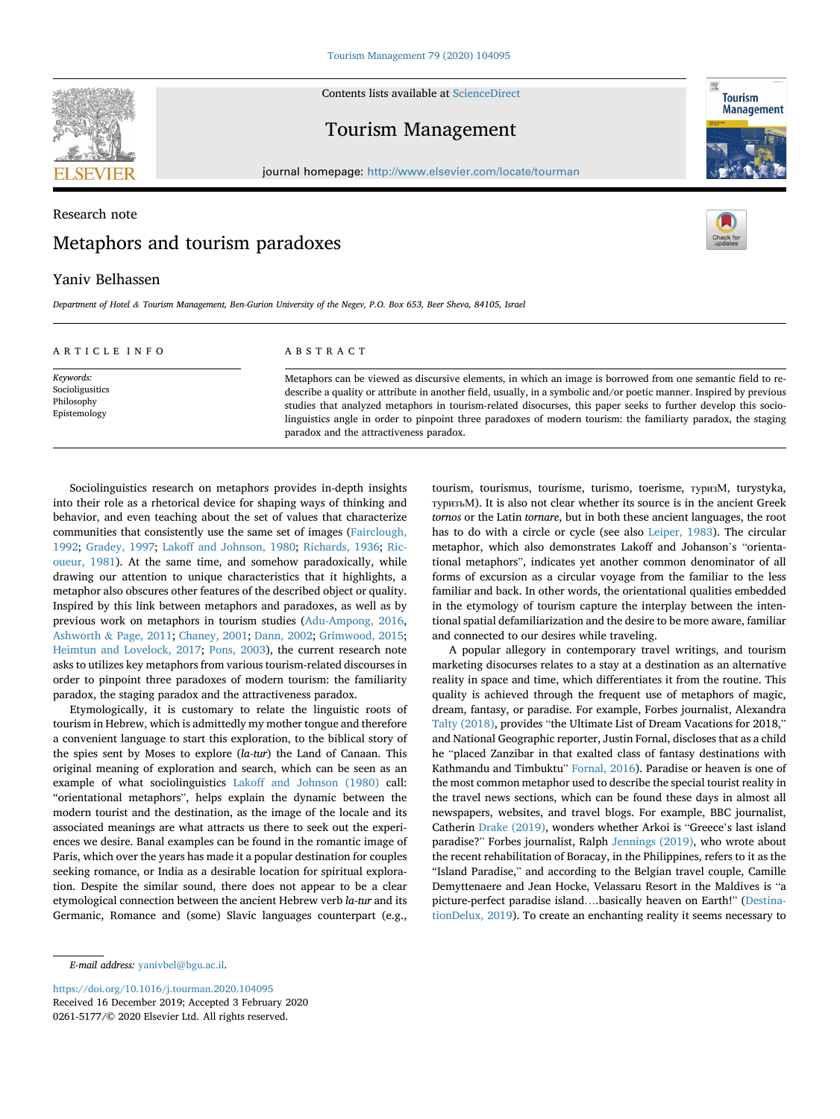

Contents lists available at [ScienceDirect](www.sciencedirect.com/science/journal/02615177)

## Tourism Management

journal homepage: [http://www.elsevier.com/locate/tourman](https://http://www.elsevier.com/locate/tourman)

# Research note Metaphors and tourism paradoxes



**Tourism Management** 

## Yaniv Belhassen

*Department of Hotel & Tourism Management, Ben-Gurion University of the Negev, P.O. Box 653, Beer Sheva, 84105, Israel* 

| ARTICLE INFO                                               | ABSTRACT                                                                                                                                                                                                                                                                                                                                                                                                                                                                                                          |
|------------------------------------------------------------|-------------------------------------------------------------------------------------------------------------------------------------------------------------------------------------------------------------------------------------------------------------------------------------------------------------------------------------------------------------------------------------------------------------------------------------------------------------------------------------------------------------------|
| Keywords:<br>Socioligusitics<br>Philosophy<br>Epistemology | Metaphors can be viewed as discursive elements, in which an image is borrowed from one semantic field to re-<br>describe a quality or attribute in another field, usually, in a symbolic and/or poetic manner. Inspired by previous<br>studies that analyzed metaphors in tourism-related disocurses, this paper seeks to further develop this socio-<br>linguistics angle in order to pinpoint three paradoxes of modern tourism: the familiarty paradox, the staging<br>paradox and the attractiveness paradox. |

Sociolinguistics research on metaphors provides in-depth insights into their role as a rhetorical device for shaping ways of thinking and behavior, and even teaching about the set of values that characterize communities that consistently use the same set of images ([Fairclough,](#page-1-0)  [1992;](#page-1-0) [Gradey, 1997;](#page-1-0) [Lakoff and Johnson, 1980;](#page-1-0) [Richards, 1936](#page-1-0); [Ric](#page-1-0)[oueur, 1981](#page-1-0)). At the same time, and somehow paradoxically, while drawing our attention to unique characteristics that it highlights, a metaphor also obscures other features of the described object or quality. Inspired by this link between metaphors and paradoxes, as well as by previous work on metaphors in tourism studies [\(Adu-Ampong, 2016](#page-1-0), Ashworth & [Page, 2011](#page-1-0); [Chaney, 2001;](#page-1-0) [Dann, 2002;](#page-1-0) [Grimwood, 2015](#page-1-0); [Heimtun and Lovelock, 2017;](#page-1-0) [Pons, 2003](#page-1-0)), the current research note asks to utilizes key metaphors from various tourism-related discourses in order to pinpoint three paradoxes of modern tourism: the familiarity paradox, the staging paradox and the attractiveness paradox.

Etymologically, it is customary to relate the linguistic roots of tourism in Hebrew, which is admittedly my mother tongue and therefore a convenient language to start this exploration, to the biblical story of the spies sent by Moses to explore (*la-tur*) the Land of Canaan. This original meaning of exploration and search, which can be seen as an example of what sociolinguistics [Lakoff and Johnson \(1980\)](#page-1-0) call: "orientational metaphors", helps explain the dynamic between the modern tourist and the destination, as the image of the locale and its associated meanings are what attracts us there to seek out the experiences we desire. Banal examples can be found in the romantic image of Paris, which over the years has made it a popular destination for couples seeking romance, or India as a desirable location for spiritual exploration. Despite the similar sound, there does not appear to be a clear etymological connection between the ancient Hebrew verb *la-tur* and its Germanic, Romance and (some) Slavic languages counterpart (e.g.,

tourism, tourismus, tourisme, turismo, toerisme, туризМ, turystyka, туризъМ). It is also not clear whether its source is in the ancient Greek *tornos* or the Latin *tornare*, but in both these ancient languages, the root has to do with a circle or cycle (see also [Leiper, 1983\)](#page-1-0). The circular metaphor, which also demonstrates Lakoff and Johanson's "orientational metaphors", indicates yet another common denominator of all forms of excursion as a circular voyage from the familiar to the less familiar and back. In other words, the orientational qualities embedded in the etymology of tourism capture the interplay between the intentional spatial defamiliarization and the desire to be more aware, familiar and connected to our desires while traveling.

A popular allegory in contemporary travel writings, and tourism marketing disocurses relates to a stay at a destination as an alternative reality in space and time, which differentiates it from the routine. This quality is achieved through the frequent use of metaphors of magic, dream, fantasy, or paradise. For example, Forbes journalist, Alexandra [Talty \(2018\),](#page-1-0) provides "the Ultimate List of Dream Vacations for 2018," and National Geographic reporter, Justin Fornal, discloses that as a child he "placed Zanzibar in that exalted class of fantasy destinations with Kathmandu and Timbuktu" [Fornal, 2016\)](#page-1-0). Paradise or heaven is one of the most common metaphor used to describe the special tourist reality in the travel news sections, which can be found these days in almost all newspapers, websites, and travel blogs. For example, BBC journalist, Catherin [Drake \(2019\),](#page-1-0) wonders whether Arkoi is "Greece's last island paradise?" Forbes journalist, Ralph [Jennings \(2019\),](#page-1-0) who wrote about the recent rehabilitation of Boracay, in the Philippines, refers to it as the "Island Paradise," and according to the Belgian travel couple, Camille Demyttenaere and Jean Hocke, Velassaru Resort in the Maldives is "a picture-perfect paradise island….basically heaven on Earth!" ([Destina](#page-1-0)[tionDelux, 2019\)](#page-1-0). To create an enchanting reality it seems necessary to

0261-5177/© 2020 Elsevier Ltd. All rights reserved. <https://doi.org/10.1016/j.tourman.2020.104095> Received 16 December 2019; Accepted 3 February 2020

*E-mail address:* [yanivbel@bgu.ac.il](mailto:yanivbel@bgu.ac.il).